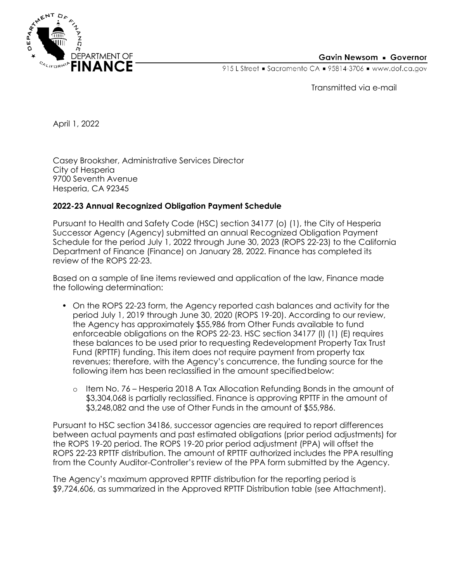

## Gavin Newsom • Governor

915 L Street • Sacramento CA • 95814-3706 • www.dof.ca.gov

Transmitted via e-mail

April 1, 2022

Casey Brooksher, Administrative Services Director City of Hesperia 9700 Seventh Avenue Hesperia, CA 92345

## **2022-23 Annual Recognized Obligation Payment Schedule**

Pursuant to Health and Safety Code (HSC) section 34177 (o) (1), the City of Hesperia Successor Agency (Agency) submitted an annual Recognized Obligation Payment Schedule for the period July 1, 2022 through June 30, 2023 (ROPS 22-23) to the California Department of Finance (Finance) on January 28, 2022. Finance has completed its review of the ROPS 22-23.

Based on a sample of line items reviewed and application of the law, Finance made the following determination:

- On the ROPS 22-23 form, the Agency reported cash balances and activity for the period July 1, 2019 through June 30, 2020 (ROPS 19-20). According to our review, the Agency has approximately \$55,986 from Other Funds available to fund enforceable obligations on the ROPS 22-23. HSC section 34177 (l) (1) (E) requires these balances to be used prior to requesting Redevelopment Property Tax Trust Fund (RPTTF) funding. This item does not require payment from property tax revenues; therefore, with the Agency's concurrence, the funding source for the following item has been reclassified in the amount specified below:
	- o Item No. 76 Hesperia 2018 A Tax Allocation Refunding Bonds in the amount of \$3,304,068 is partially reclassified. Finance is approving RPTTF in the amount of \$3,248,082 and the use of Other Funds in the amount of \$55,986.

Pursuant to HSC section 34186, successor agencies are required to report differences between actual payments and past estimated obligations (prior period adjustments) for the ROPS 19-20 period. The ROPS 19-20 prior period adjustment (PPA) will offset the ROPS 22-23 RPTTF distribution. The amount of RPTTF authorized includes the PPA resulting from the County Auditor-Controller's review of the PPA form submitted by the Agency.

The Agency's maximum approved RPTTF distribution for the reporting period is \$9,724,606, as summarized in the Approved RPTTF Distribution table (see Attachment).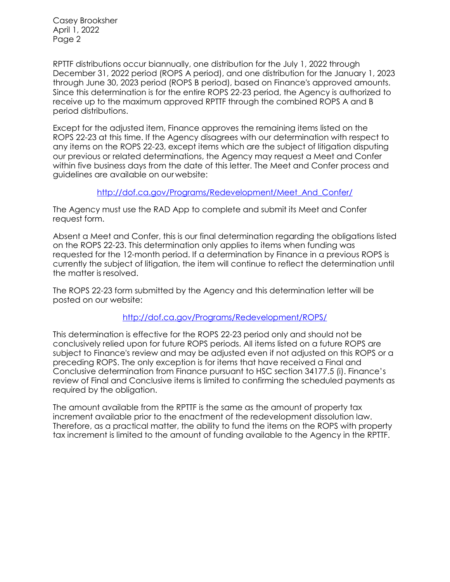Casey Brooksher April 1, 2022 Page 2

RPTTF distributions occur biannually, one distribution for the July 1, 2022 through December 31, 2022 period (ROPS A period), and one distribution for the January 1, 2023 through June 30, 2023 period (ROPS B period), based on Finance's approved amounts. Since this determination is for the entire ROPS 22-23 period, the Agency is authorized to receive up to the maximum approved RPTTF through the combined ROPS A and B period distributions.

Except for the adjusted item, Finance approves the remaining items listed on the ROPS 22-23 at this time. If the Agency disagrees with our determination with respect to any items on the ROPS 22-23, except items which are the subject of litigation disputing our previous or related determinations, the Agency may request a Meet and Confer within five business days from the date of this letter. The Meet and Confer process and guidelines are available on our website:

[http://dof.ca.gov/Programs/Redevelopment/Meet\\_And\\_Confer/](http://dof.ca.gov/Programs/Redevelopment/Meet_And_Confer/)

The Agency must use the RAD App to complete and submit its Meet and Confer request form.

Absent a Meet and Confer, this is our final determination regarding the obligations listed on the ROPS 22-23. This determination only applies to items when funding was requested for the 12-month period. If a determination by Finance in a previous ROPS is currently the subject of litigation, the item will continue to reflect the determination until the matter is resolved.

The ROPS 22-23 form submitted by the Agency and this determination letter will be posted on our website:

## <http://dof.ca.gov/Programs/Redevelopment/ROPS/>

This determination is effective for the ROPS 22-23 period only and should not be conclusively relied upon for future ROPS periods. All items listed on a future ROPS are subject to Finance's review and may be adjusted even if not adjusted on this ROPS or a preceding ROPS. The only exception is for items that have received a Final and Conclusive determination from Finance pursuant to HSC section 34177.5 (i). Finance's review of Final and Conclusive items is limited to confirming the scheduled payments as required by the obligation.

The amount available from the RPTTF is the same as the amount of property tax increment available prior to the enactment of the redevelopment dissolution law. Therefore, as a practical matter, the ability to fund the items on the ROPS with property tax increment is limited to the amount of funding available to the Agency in the RPTTF.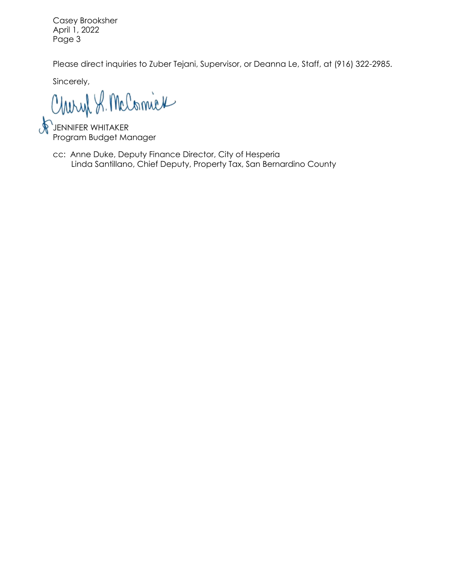Casey Brooksher April 1, 2022 Page 3

Please direct inquiries to Zuber Tejani, Supervisor, or Deanna Le, Staff, at (916) 322-2985.

Sincerely,

Charyl S. McComick

JENNIFER WHITAKER Program Budget Manager

cc: Anne Duke, Deputy Finance Director, City of Hesperia Linda Santillano, Chief Deputy, Property Tax, San Bernardino County